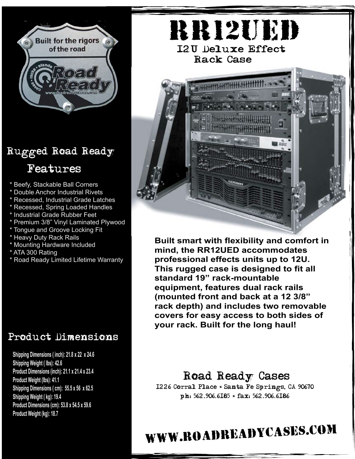

## Rugged Road Ready Features

- Beefy, Stackable Ball Corners
- Double Anchor Industrial Rivets
- Recessed, Industrial Grade Latches
- \* Recessed, Spring Loaded Handles
- \* Industrial Grade Rubber Feet
- Premium 3/8" Vinyl Laminated Plywood
- \* Tongue and Groove Locking Fit
- \* Heavy Duty Rack Rails
- \* Mounting Hardware Included
- \* ATA 300 Rating
- \* Road Ready Limited Lifetime Warranty

### Product Dimensions

**7/06 Product Weight (kg): 18.7Shipping Dimensions ( inch): 21.8 x 22 x 24.6 Shipping Weight ( lbs): 42.6 Product Dimensions (inch): 21.1 x 21.4 x 23.4 Product Weight (lbs): 41.1 Shipping Dimensions ( cm): 55.5 x 56 x 62.5 Shipping Weight ( kg): 19.4 Product Dimensions (cm): 53.8 x 54.5 x 59.6**



**Built smart with flexibility and comfort in mind, the RR12UED accommodates professional effects units up to 12U. This rugged case is designed to fit all standard 19" rack-mountable equipment, features dual rack rails (mounted front and back at a 12 3/8" rack depth) and includes two removable covers for easy access to both sides of your rack. Built for the long haul!**

#### Road Ready Cases

1226 Corral Place \* Santa Fe Springs, CA 90670 ph: 562.906.6185 \* fax: 562.906.6186

# www.roadreadycases.com